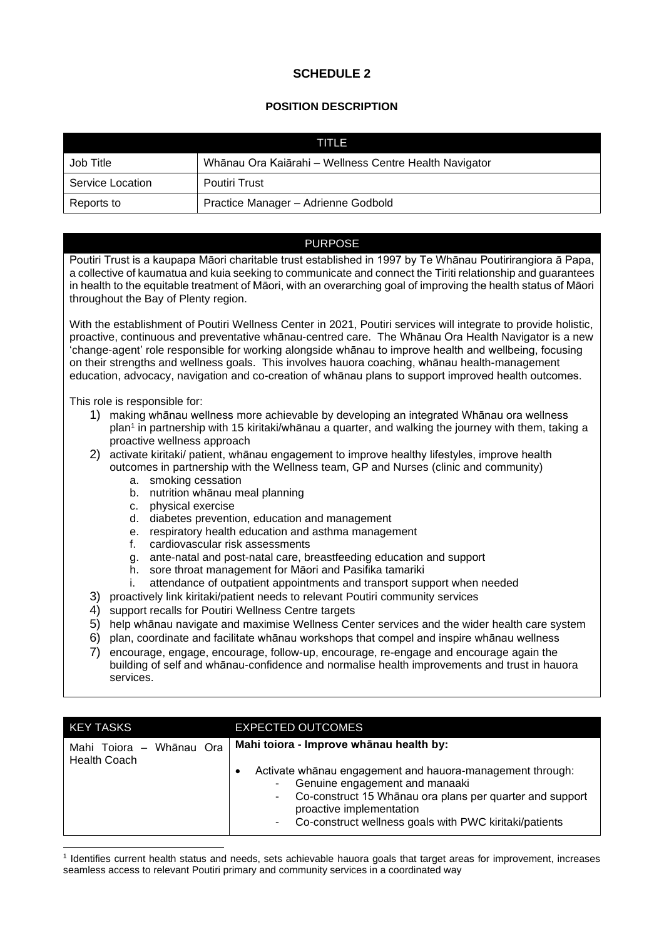# **SCHEDULE 2**

## **POSITION DESCRIPTION**

| TITLE            |                                                        |  |
|------------------|--------------------------------------------------------|--|
| Job Title        | Whānau Ora Kaiārahi - Wellness Centre Health Navigator |  |
| Service Location | <b>Poutiri Trust</b>                                   |  |
| Reports to       | Practice Manager - Adrienne Godbold                    |  |

### PURPOSE

Poutiri Trust is a kaupapa Māori charitable trust established in 1997 by Te Whānau Poutirirangiora ā Papa, a collective of kaumatua and kuia seeking to communicate and connect the Tiriti relationship and guarantees in health to the equitable treatment of Māori, with an overarching goal of improving the health status of Māori throughout the Bay of Plenty region.

With the establishment of Poutiri Wellness Center in 2021, Poutiri services will integrate to provide holistic, proactive, continuous and preventative whānau-centred care. The Whānau Ora Health Navigator is a new 'change-agent' role responsible for working alongside whānau to improve health and wellbeing, focusing on their strengths and wellness goals. This involves hauora coaching, whānau health-management education, advocacy, navigation and co-creation of whānau plans to support improved health outcomes.

This role is responsible for:

- 1) making whānau wellness more achievable by developing an integrated Whānau ora wellness plan<sup>1</sup> in partnership with 15 kiritaki/whānau a quarter, and walking the journey with them, taking a proactive wellness approach
- 2) activate kiritaki/ patient, whānau engagement to improve healthy lifestyles, improve health outcomes in partnership with the Wellness team, GP and Nurses (clinic and community)
	- a. smoking cessation
	- b. nutrition whānau meal planning
	- c. physical exercise
	- d. diabetes prevention, education and management
	- e. respiratory health education and asthma management
	- f. cardiovascular risk assessments
	- g. ante-natal and post-natal care, breastfeeding education and support
	- h. sore throat management for Māori and Pasifika tamariki
	- i. attendance of outpatient appointments and transport support when needed
- 3) proactively link kiritaki/patient needs to relevant Poutiri community services
- 4) support recalls for Poutiri Wellness Centre targets
- 5) help whānau navigate and maximise Wellness Center services and the wider health care system
- 6) plan, coordinate and facilitate whānau workshops that compel and inspire whānau wellness
- 7) encourage, engage, encourage, follow-up, encourage, re-engage and encourage again the building of self and whānau-confidence and normalise health improvements and trust in hauora services.

| <b>KEY TASKS</b>                                   | <b>EXPECTED OUTCOMES</b>                                                                                                                                                                                                                                                                                           |
|----------------------------------------------------|--------------------------------------------------------------------------------------------------------------------------------------------------------------------------------------------------------------------------------------------------------------------------------------------------------------------|
| Whānau Ora<br>Mahi Toiora -<br><b>Health Coach</b> | Mahi toiora - Improve whānau health by:<br>Activate whanau engagement and hauora-management through:<br>٠<br>Genuine engagement and manaaki<br>۰<br>Co-construct 15 Whānau ora plans per quarter and support<br>$\sim$<br>proactive implementation<br>Co-construct wellness goals with PWC kiritaki/patients<br>۰. |

1 Identifies current health status and needs, sets achievable hauora goals that target areas for improvement, increases seamless access to relevant Poutiri primary and community services in a coordinated way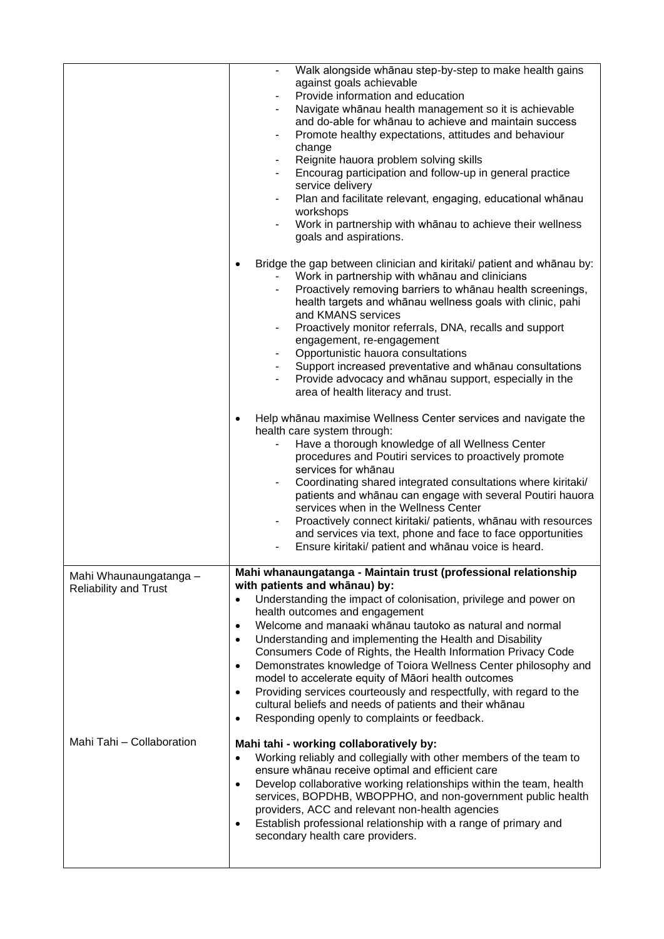|                                                        | Walk alongside whānau step-by-step to make health gains<br>against goals achievable<br>Provide information and education<br>Navigate whānau health management so it is achievable<br>$\blacksquare$<br>and do-able for whānau to achieve and maintain success<br>Promote healthy expectations, attitudes and behaviour<br>$\blacksquare$<br>change<br>Reignite hauora problem solving skills<br>$\blacksquare$<br>Encourag participation and follow-up in general practice<br>service delivery<br>Plan and facilitate relevant, engaging, educational whānau<br>workshops<br>Work in partnership with whanau to achieve their wellness<br>goals and aspirations.<br>Bridge the gap between clinician and kiritaki/ patient and whānau by:<br>Work in partnership with whānau and clinicians<br>Proactively removing barriers to whanau health screenings, |
|--------------------------------------------------------|-----------------------------------------------------------------------------------------------------------------------------------------------------------------------------------------------------------------------------------------------------------------------------------------------------------------------------------------------------------------------------------------------------------------------------------------------------------------------------------------------------------------------------------------------------------------------------------------------------------------------------------------------------------------------------------------------------------------------------------------------------------------------------------------------------------------------------------------------------------|
|                                                        | health targets and whānau wellness goals with clinic, pahi<br>and KMANS services<br>Proactively monitor referrals, DNA, recalls and support<br>٠<br>engagement, re-engagement<br>Opportunistic hauora consultations<br>Support increased preventative and whānau consultations<br>Provide advocacy and whanau support, especially in the<br>area of health literacy and trust.                                                                                                                                                                                                                                                                                                                                                                                                                                                                            |
|                                                        | Help whānau maximise Wellness Center services and navigate the<br>health care system through:<br>Have a thorough knowledge of all Wellness Center<br>procedures and Poutiri services to proactively promote<br>services for whanau<br>Coordinating shared integrated consultations where kiritaki/<br>$\blacksquare$<br>patients and whānau can engage with several Poutiri hauora<br>services when in the Wellness Center<br>Proactively connect kiritaki/ patients, whānau with resources<br>$\blacksquare$<br>and services via text, phone and face to face opportunities<br>Ensure kiritaki/ patient and whānau voice is heard.<br>٠                                                                                                                                                                                                                  |
| Mahi Whaunaungatanga -<br><b>Reliability and Trust</b> | Mahi whanaungatanga - Maintain trust (professional relationship<br>with patients and whānau) by:<br>Understanding the impact of colonisation, privilege and power on<br>$\bullet$<br>health outcomes and engagement<br>Welcome and manaaki whanau tautoko as natural and normal<br>$\bullet$<br>Understanding and implementing the Health and Disability<br>$\bullet$<br>Consumers Code of Rights, the Health Information Privacy Code<br>Demonstrates knowledge of Toiora Wellness Center philosophy and<br>$\bullet$<br>model to accelerate equity of Māori health outcomes<br>Providing services courteously and respectfully, with regard to the<br>$\bullet$<br>cultural beliefs and needs of patients and their whānau<br>Responding openly to complaints or feedback.<br>$\bullet$                                                                 |
| Mahi Tahi - Collaboration                              | Mahi tahi - working collaboratively by:<br>Working reliably and collegially with other members of the team to<br>$\bullet$<br>ensure whānau receive optimal and efficient care<br>Develop collaborative working relationships within the team, health<br>$\bullet$<br>services, BOPDHB, WBOPPHO, and non-government public health<br>providers, ACC and relevant non-health agencies<br>Establish professional relationship with a range of primary and<br>٠<br>secondary health care providers.                                                                                                                                                                                                                                                                                                                                                          |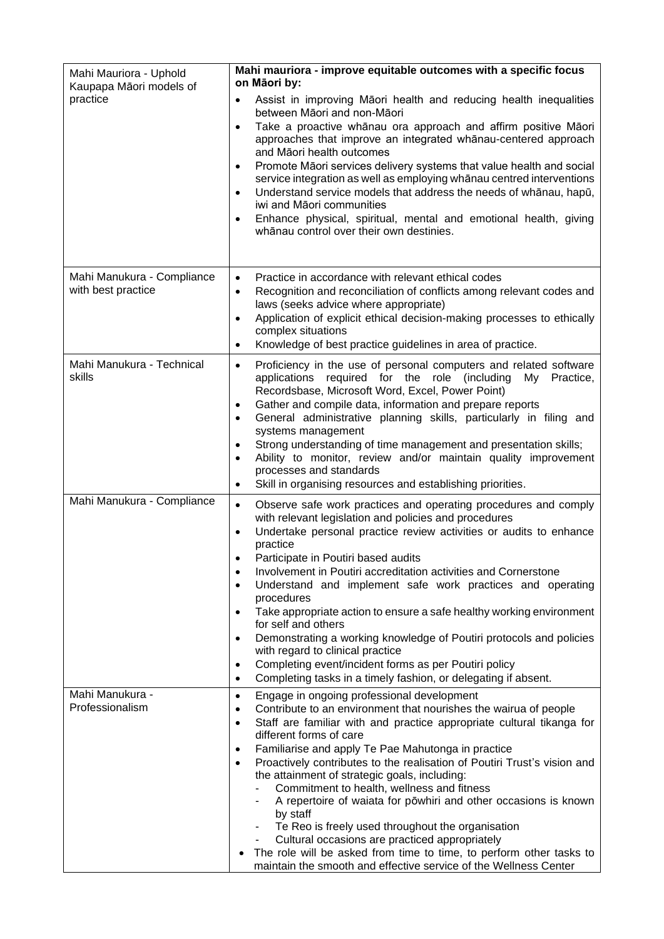| Mahi Mauriora - Uphold<br>Kaupapa Māori models of<br>practice | Mahi mauriora - improve equitable outcomes with a specific focus<br>on Māori by:<br>Assist in improving Māori health and reducing health inequalities<br>$\bullet$<br>between Māori and non-Māori<br>Take a proactive whānau ora approach and affirm positive Māori<br>$\bullet$<br>approaches that improve an integrated whānau-centered approach<br>and Māori health outcomes<br>Promote Māori services delivery systems that value health and social<br>$\bullet$<br>service integration as well as employing whanau centred interventions<br>Understand service models that address the needs of whanau, hapū,<br>$\bullet$<br>iwi and Māori communities<br>Enhance physical, spiritual, mental and emotional health, giving<br>$\bullet$<br>whānau control over their own destinies.                                                     |
|---------------------------------------------------------------|-----------------------------------------------------------------------------------------------------------------------------------------------------------------------------------------------------------------------------------------------------------------------------------------------------------------------------------------------------------------------------------------------------------------------------------------------------------------------------------------------------------------------------------------------------------------------------------------------------------------------------------------------------------------------------------------------------------------------------------------------------------------------------------------------------------------------------------------------|
| Mahi Manukura - Compliance<br>with best practice              | Practice in accordance with relevant ethical codes<br>$\bullet$<br>Recognition and reconciliation of conflicts among relevant codes and<br>$\bullet$<br>laws (seeks advice where appropriate)<br>Application of explicit ethical decision-making processes to ethically<br>$\bullet$<br>complex situations<br>Knowledge of best practice guidelines in area of practice.<br>$\bullet$                                                                                                                                                                                                                                                                                                                                                                                                                                                         |
| Mahi Manukura - Technical<br>skills                           | Proficiency in the use of personal computers and related software<br>$\bullet$<br>applications required for the role (including<br>My<br>Practice,<br>Recordsbase, Microsoft Word, Excel, Power Point)<br>Gather and compile data, information and prepare reports<br>$\bullet$<br>General administrative planning skills, particularly in filing and<br>$\bullet$<br>systems management<br>Strong understanding of time management and presentation skills;<br>$\bullet$<br>Ability to monitor, review and/or maintain quality improvement<br>$\bullet$<br>processes and standards<br>Skill in organising resources and establishing priorities.<br>$\bullet$                                                                                                                                                                                |
| Mahi Manukura - Compliance                                    | Observe safe work practices and operating procedures and comply<br>$\bullet$<br>with relevant legislation and policies and procedures<br>Undertake personal practice review activities or audits to enhance<br>$\bullet$<br>practice<br>Participate in Poutiri based audits<br>Involvement in Poutiri accreditation activities and Cornerstone<br>$\bullet$<br>Understand and implement safe work practices and operating<br>$\bullet$<br>procedures<br>Take appropriate action to ensure a safe healthy working environment<br>$\bullet$<br>for self and others<br>Demonstrating a working knowledge of Poutiri protocols and policies<br>$\bullet$<br>with regard to clinical practice<br>Completing event/incident forms as per Poutiri policy<br>$\bullet$<br>Completing tasks in a timely fashion, or delegating if absent.<br>$\bullet$ |
| Mahi Manukura -<br>Professionalism                            | Engage in ongoing professional development<br>$\bullet$<br>Contribute to an environment that nourishes the wairua of people<br>٠<br>Staff are familiar with and practice appropriate cultural tikanga for<br>$\bullet$<br>different forms of care<br>Familiarise and apply Te Pae Mahutonga in practice<br>$\bullet$<br>Proactively contributes to the realisation of Poutiri Trust's vision and<br>$\bullet$<br>the attainment of strategic goals, including:<br>Commitment to health, wellness and fitness<br>A repertoire of waiata for powhiri and other occasions is known<br>by staff<br>Te Reo is freely used throughout the organisation<br>Cultural occasions are practiced appropriately<br>The role will be asked from time to time, to perform other tasks to<br>maintain the smooth and effective service of the Wellness Center |